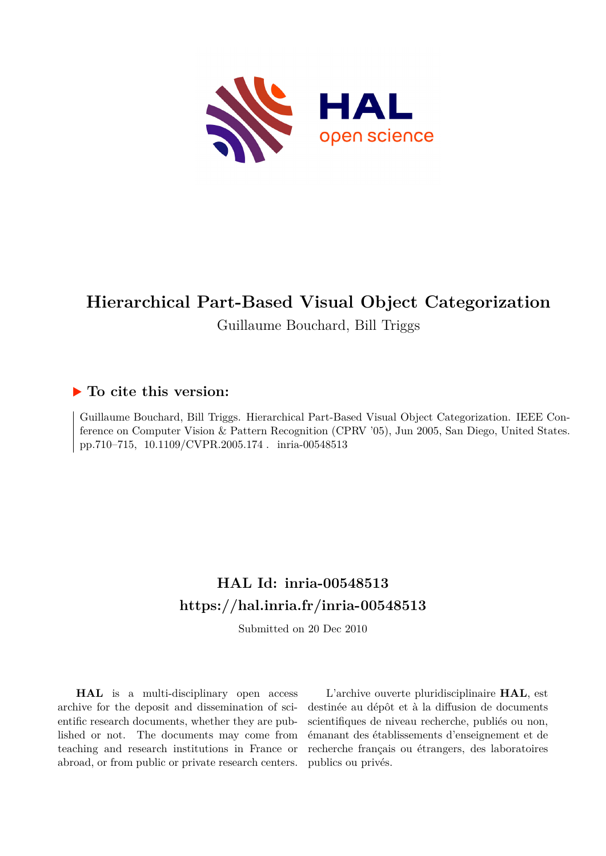

# **Hierarchical Part-Based Visual Object Categorization**

## Guillaume Bouchard, Bill Triggs

## **To cite this version:**

Guillaume Bouchard, Bill Triggs. Hierarchical Part-Based Visual Object Categorization. IEEE Conference on Computer Vision & Pattern Recognition (CPRV '05), Jun 2005, San Diego, United States. pp.710–715, 10.1109/CVPR.2005.174. inria-00548513

# **HAL Id: inria-00548513 <https://hal.inria.fr/inria-00548513>**

Submitted on 20 Dec 2010

**HAL** is a multi-disciplinary open access archive for the deposit and dissemination of scientific research documents, whether they are published or not. The documents may come from teaching and research institutions in France or abroad, or from public or private research centers.

L'archive ouverte pluridisciplinaire **HAL**, est destinée au dépôt et à la diffusion de documents scientifiques de niveau recherche, publiés ou non, émanant des établissements d'enseignement et de recherche français ou étrangers, des laboratoires publics ou privés.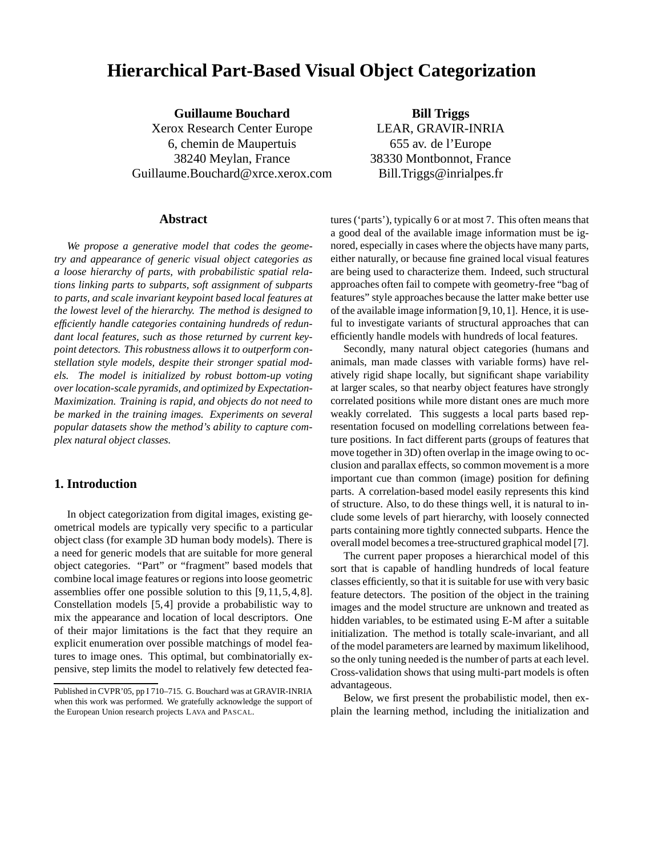# **Hierarchical Part-Based Visual Object Categorization**

**Guillaume Bouchard** Xerox Research Center Europe 6, chemin de Maupertuis 38240 Meylan, France Guillaume.Bouchard@xrce.xerox.com

**Bill Triggs** LEAR, GRAVIR-INRIA 655 av. de l'Europe 38330 Montbonnot, France Bill.Triggs@inrialpes.fr

#### **Abstract**

*We propose a generative model that codes the geometry and appearance of generic visual object categories as a loose hierarchy of parts, with probabilistic spatial relations linking parts to subparts, soft assignment of subparts to parts, and scale invariant keypoint based local features at the lowest level of the hierarchy. The method is designed to efficiently handle categories containing hundreds of redundant local features, such as those returned by current keypoint detectors. This robustness allows it to outperform constellation style models, despite their stronger spatial models. The model is initialized by robust bottom-up voting overlocation-scale pyramids, and optimized by Expectation-Maximization. Training is rapid, and objects do not need to be marked in the training images. Experiments on several popular datasets show the method's ability to capture complex natural object classes.*

#### **1. Introduction**

In object categorization from digital images, existing geometrical models are typically very specific to a particular object class (for example 3D human body models). There is a need for generic models that are suitable for more general object categories. "Part" or "fragment" based models that combine local image features or regionsinto loose geometric assemblies offer one possible solution to this [9,11,5,4,8]. Constellation models [5,4] provide a probabilistic way to mix the appearance and location of local descriptors. One of their major limitations is the fact that they require an explicit enumeration over possible matchings of model features to image ones. This optimal, but combinatorially expensive, step limits the model to relatively few detected features ('parts'), typically 6 or at most 7. This often means that a good deal of the available image information must be ignored, especially in cases where the objects have many parts, either naturally, or because fine grained local visual features are being used to characterize them. Indeed, such structural approaches often fail to compete with geometry-free "bag of features" style approaches because the latter make better use of the available image information [9,10,1]. Hence, it is useful to investigate variants of structural approaches that can efficiently handle models with hundreds of local features.

Secondly, many natural object categories (humans and animals, man made classes with variable forms) have relatively rigid shape locally, but significant shape variability at larger scales, so that nearby object features have strongly correlated positions while more distant ones are much more weakly correlated. This suggests a local parts based representation focused on modelling correlations between feature positions. In fact different parts (groups of features that move together in 3D) often overlap in the image owing to occlusion and parallax effects, so common movement is a more important cue than common (image) position for defining parts. A correlation-based model easily represents this kind of structure. Also, to do these things well, it is natural to include some levels of part hierarchy, with loosely connected parts containing more tightly connected subparts. Hence the overall model becomes a tree-structured graphical model [7].

The current paper proposes a hierarchical model of this sort that is capable of handling hundreds of local feature classes efficiently, so that it is suitable for use with very basic feature detectors. The position of the object in the training images and the model structure are unknown and treated as hidden variables, to be estimated using E-M after a suitable initialization. The method is totally scale-invariant, and all of the model parameters are learned by maximum likelihood, so the only tuning needed is the number of parts at each level. Cross-validation shows that using multi-part models is often advantageous.

Below, we first present the probabilistic model, then explain the learning method, including the initialization and

Published in CVPR'05, pp I 710–715. G. Bouchard was at GRAVIR-INRIA when this work was performed. We gratefully acknowledge the support of the European Union research projects LAVA and PASCAL.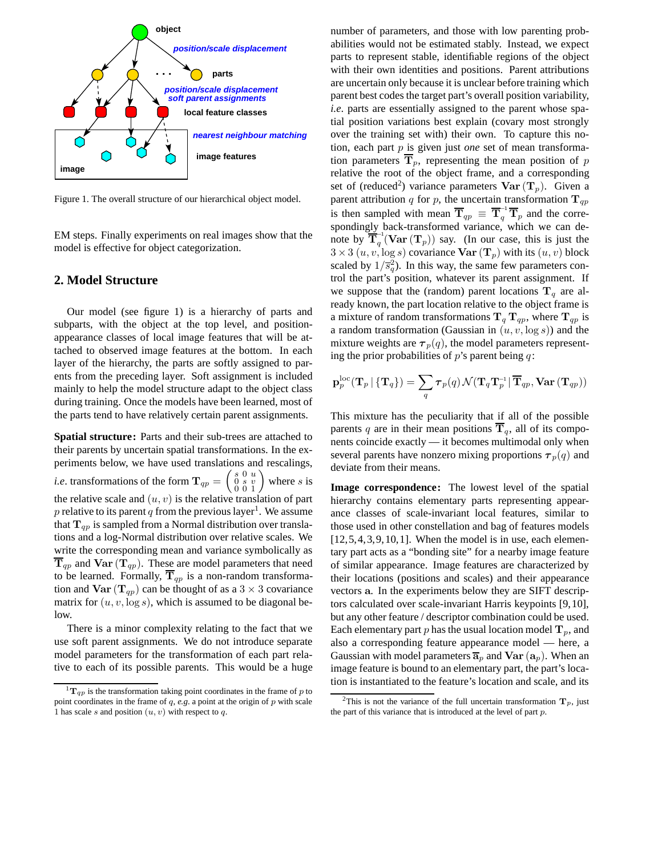

Figure 1. The overall structure of our hierarchical object model.

EM steps. Finally experiments on real images show that the model is effective for object categorization.

#### **2. Model Structure**

Our model (see figure 1) is a hierarchy of parts and subparts, with the object at the top level, and positionappearance classes of local image features that will be attached to observed image features at the bottom. In each layer of the hierarchy, the parts are softly assigned to parents from the preceding layer. Soft assignment is included mainly to help the model structure adapt to the object class during training. Once the models have been learned, most of the parts tend to have relatively certain parent assignments.

**Spatial structure:** Parts and their sub-trees are attached to their parents by uncertain spatial transformations. In the experiments below, we have used translations and rescalings, *i.e.* transformations of the form  $\mathbf{T}_{qp} = \begin{pmatrix} s & 0 & u \\ 0 & s & v \\ 0 & 0 & 1 \end{pmatrix}$ where s is the relative scale and  $(u, v)$  is the relative translation of part p relative to its parent q from the previous layer<sup>1</sup>. We assume that  $T_{qp}$  is sampled from a Normal distribution over translations and a log-Normal distribution over relative scales. We write the corresponding mean and variance symbolically as  $\overline{\mathbf{T}}_{qp}$  and  $\textbf{Var}(\mathbf{T}_{qp})$ . These are model parameters that need to be learned. Formally,  $\overline{T}_{qp}$  is a non-random transformation and  $\text{Var}(\mathbf{T}_{qp})$  can be thought of as a  $3 \times 3$  covariance matrix for  $(u, v, \log s)$ , which is assumed to be diagonal below.

There is a minor complexity relating to the fact that we use soft parent assignments. We do not introduce separate model parameters for the transformation of each part relative to each of its possible parents. This would be a huge number of parameters, and those with low parenting probabilities would not be estimated stably. Instead, we expect parts to represent stable, identifiable regions of the object with their own identities and positions. Parent attributions are uncertain only because it is unclear before training which parent best codes the target part's overall position variability, *i.e*. parts are essentially assigned to the parent whose spatial position variations best explain (covary most strongly over the training set with) their own. To capture this notion, each part p is given just *one* set of mean transformation parameters  $\overline{T}_p$ , representing the mean position of p relative the root of the object frame, and a corresponding set of (reduced<sup>2</sup>) variance parameters  $\text{Var}(\mathbf{T}_p)$ . Given a parent attribution q for p, the uncertain transformation  $T_{qp}$ is then sampled with mean  $\overline{T}_{qp} \equiv \overline{T}_q^{-1} \overline{T}_p$  and the correspondingly back-transformed variance, which we can denote by  $\overline{\mathbf{T}}_q^{-1}(\mathbf{Var}(\mathbf{T}_p))$  say. (In our case, this is just the  $3 \times 3$   $(u, v, \log s)$  covariance  $\text{Var}(\mathbf{T}_p)$  with its  $(u, v)$  block scaled by  $1/\overline{s}_{q}^{2}$ ). In this way, the same few parameters control the part's position, whatever its parent assignment. If we suppose that the (random) parent locations  $T_q$  are already known, the part location relative to the object frame is a mixture of random transformations  $T_q T_{qp}$ , where  $T_{qp}$  is a random transformation (Gaussian in  $(u, v, \log s)$ ) and the mixture weights are  $\tau_p(q)$ , the model parameters representing the prior probabilities of  $p$ 's parent being  $q$ :

$$
\mathbf{p}_p^{\mathrm{loc}}(\mathbf{T}_p \,|\, \{\mathbf{T}_q\}) = \sum_{q} \boldsymbol{\tau}_p(q) \, \mathcal{N}(\mathbf{T}_q \mathbf{T}_p^{-1} \,|\, \overline{\mathbf{T}}_{qp}, \textbf{Var}\,(\mathbf{T}_{qp}))
$$

This mixture has the peculiarity that if all of the possible parents q are in their mean positions  $T_q$ , all of its components coincide exactly — it becomes multimodal only when several parents have nonzero mixing proportions  $\tau_p(q)$  and deviate from their means.

**Image correspondence:** The lowest level of the spatial hierarchy contains elementary parts representing appearance classes of scale-invariant local features, similar to those used in other constellation and bag of features models  $[12,5,4,3,9,10,1]$ . When the model is in use, each elementary part acts as a "bonding site" for a nearby image feature of similar appearance. Image features are characterized by their locations (positions and scales) and their appearance vectors a. In the experiments below they are SIFT descriptors calculated over scale-invariant Harris keypoints [9,10], but any other feature / descriptor combination could be used. Each elementary part p has the usual location model  $T_p$ , and also a corresponding feature appearance model — here, a Gaussian with model parameters  $\overline{a}_p$  and  $\overline{Var}(a_p)$ . When an image feature is bound to an elementary part, the part's location is instantiated to the feature's location and scale, and its

 ${}^{1}T_{qp}$  is the transformation taking point coordinates in the frame of p to point coordinates in the frame of  $q$ ,  $e.g.$  a point at the origin of  $p$  with scale 1 has scale s and position  $(u, v)$  with respect to q.

<sup>&</sup>lt;sup>2</sup>This is not the variance of the full uncertain transformation  $\mathbf{T}_p$ , just the part of this variance that is introduced at the level of part  $p$ .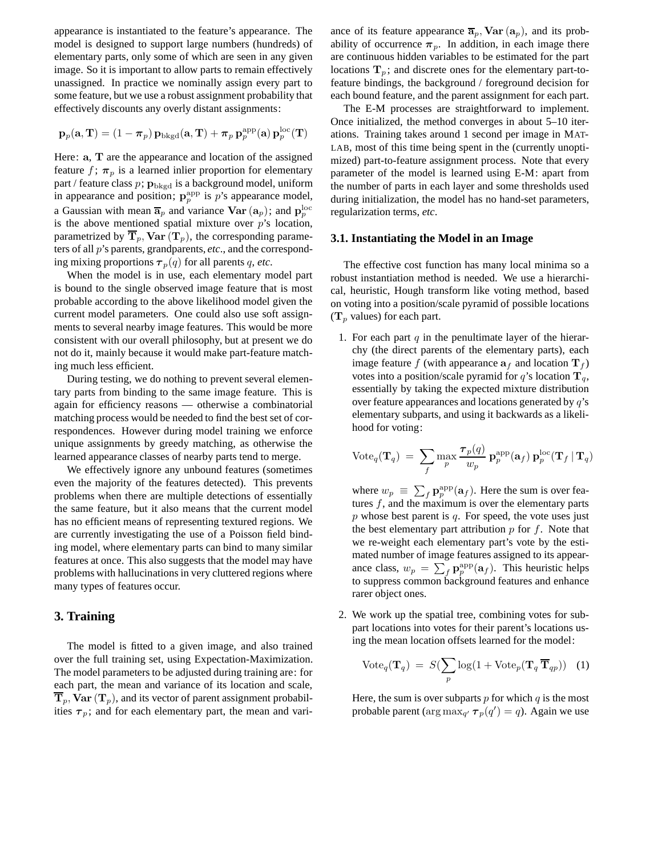appearance is instantiated to the feature's appearance. The model is designed to support large numbers (hundreds) of elementary parts, only some of which are seen in any given image. So it is important to allow parts to remain effectively unassigned. In practice we nominally assign every part to some feature, but we use a robust assignment probability that effectively discounts any overly distant assignments:

$$
\mathbf{p}_p(\mathbf{a}, \mathbf{T}) = (1 - \pi_p) \, \mathbf{p}_{\text{bkgd}}(\mathbf{a}, \mathbf{T}) + \pi_p \, \mathbf{p}_p^{\text{app}}(\mathbf{a}) \, \mathbf{p}_p^{\text{loc}}(\mathbf{T})
$$

Here: **a**, **T** are the appearance and location of the assigned feature f;  $\pi_p$  is a learned inlier proportion for elementary part / feature class  $p$ ;  $\mathbf{p}_{\text{bkgd}}$  is a background model, uniform in appearance and position;  $\mathbf{p}_p^{\text{app}}$  is p's appearance model, a Gaussian with mean  $\overline{\mathbf{a}}_p$  and variance  $\text{Var}(\mathbf{a}_p)$ ; and  $\mathbf{p}_p^{\text{loc}}$ is the above mentioned spatial mixture over  $p$ 's location, parametrized by  $\overline{T}_p$ , Var  $(T_p)$ , the corresponding parameters of all p's parents, grandparents, *etc*., and the corresponding mixing proportions  $\tau_p(q)$  for all parents q, etc.

When the model is in use, each elementary model part is bound to the single observed image feature that is most probable according to the above likelihood model given the current model parameters. One could also use soft assignments to several nearby image features. This would be more consistent with our overall philosophy, but at present we do not do it, mainly because it would make part-feature matching much less efficient.

During testing, we do nothing to prevent several elementary parts from binding to the same image feature. This is again for efficiency reasons — otherwise a combinatorial matching process would be needed to find the best set of correspondences. However during model training we enforce unique assignments by greedy matching, as otherwise the learned appearance classes of nearby parts tend to merge.

We effectively ignore any unbound features (sometimes even the majority of the features detected). This prevents problems when there are multiple detections of essentially the same feature, but it also means that the current model has no efficient means of representing textured regions. We are currently investigating the use of a Poisson field binding model, where elementary parts can bind to many similar features at once. This also suggests that the model may have problems with hallucinations in very cluttered regions where many types of features occur.

#### **3. Training**

The model is fitted to a given image, and also trained over the full training set, using Expectation-Maximization. The model parameters to be adjusted during training are: for each part, the mean and variance of its location and scale,  $T_p$ , Var  $(T_p)$ , and its vector of parent assignment probabilities  $\tau_p$ ; and for each elementary part, the mean and variance of its feature appearance  $\overline{\mathbf{a}}_p$ , **Var**  $(\mathbf{a}_p)$ , and its probability of occurrence  $\pi_p$ . In addition, in each image there are continuous hidden variables to be estimated for the part locations  $T_p$ ; and discrete ones for the elementary part-tofeature bindings, the background / foreground decision for each bound feature, and the parent assignment for each part.

The E-M processes are straightforward to implement. Once initialized, the method converges in about 5–10 iterations. Training takes around 1 second per image in MAT-LAB, most of this time being spent in the (currently unoptimized) part-to-feature assignment process. Note that every parameter of the model is learned using E-M: apart from the number of parts in each layer and some thresholds used during initialization, the model has no hand-set parameters, regularization terms, *etc*.

#### **3.1. Instantiating the Model in an Image**

The effective cost function has many local minima so a robust instantiation method is needed. We use a hierarchical, heuristic, Hough transform like voting method, based on voting into a position/scale pyramid of possible locations  $(\mathbf{T}_p \text{ values})$  for each part.

1. For each part  $q$  in the penultimate layer of the hierarchy (the direct parents of the elementary parts), each image feature f (with appearance  $a_f$  and location  $T_f$ ) votes into a position/scale pyramid for q's location  $T_q$ , essentially by taking the expected mixture distribution over feature appearances and locations generated by q's elementary subparts, and using it backwards as a likelihood for voting:

$$
\text{Vote}_{q}(\mathbf{T}_q) = \sum_{f} \max_{p} \frac{\boldsymbol{\tau}_p(q)}{w_p} \mathbf{p}_p^{\text{app}}(\mathbf{a}_f) \mathbf{p}_p^{\text{loc}}(\mathbf{T}_f \,|\, \mathbf{T}_q)
$$

where  $w_p \equiv \sum_f \mathbf{p}_p^{\text{app}}(\mathbf{a}_f)$ . Here the sum is over features  $f$ , and the maximum is over the elementary parts  $p$  whose best parent is  $q$ . For speed, the vote uses just the best elementary part attribution  $p$  for  $f$ . Note that we re-weight each elementary part's vote by the estimated number of image features assigned to its appearance class,  $w_p = \sum_f \mathbf{p}_p^{\text{app}}(\mathbf{a}_f)$ . This heuristic helps to suppress common background features and enhance rarer object ones.

2. We work up the spatial tree, combining votes for subpart locations into votes for their parent's locations using the mean location offsets learned for the model:

$$
Vote_q(\mathbf{T}_q) = S(\sum_p \log(1 + \text{Vote}_p(\mathbf{T}_q \overline{\mathbf{T}}_{qp})) \quad (1)
$$

Here, the sum is over subparts  $p$  for which  $q$  is the most probable parent ( $\arg \max_{q'} \tau_p(q') = q$ ). Again we use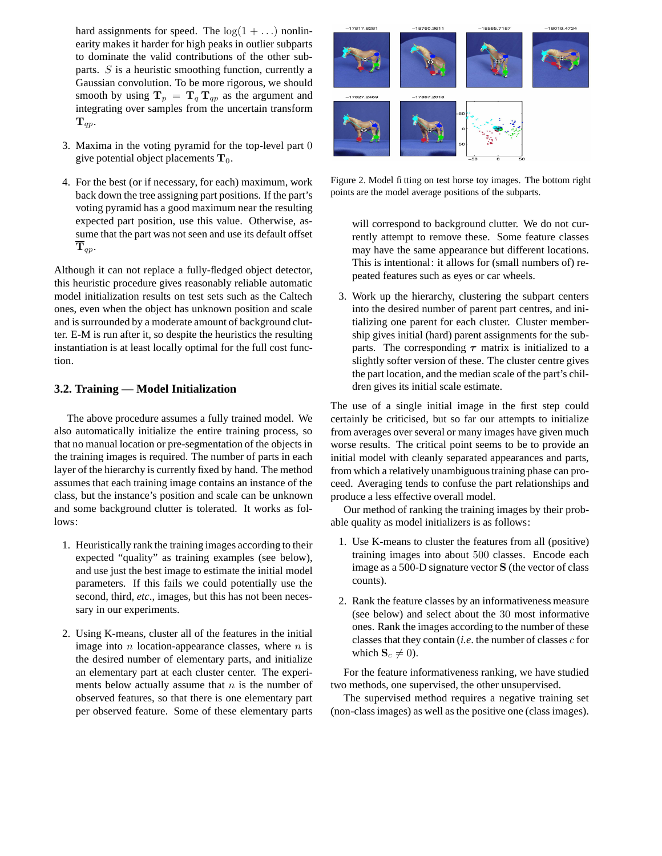hard assignments for speed. The  $log(1 + ...)$  nonlinearity makes it harder for high peaks in outlier subparts to dominate the valid contributions of the other subparts. S is a heuristic smoothing function, currently a Gaussian convolution. To be more rigorous, we should smooth by using  $T_p = T_q T_{qp}$  as the argument and integrating over samples from the uncertain transform  ${\bf T}_{qp}$ .

- 3. Maxima in the voting pyramid for the top-level part 0 give potential object placements  $T_0$ .
- 4. For the best (or if necessary, for each) maximum, work back down the tree assigning part positions. If the part's voting pyramid has a good maximum near the resulting expected part position, use this value. Otherwise, assume that the part was not seen and use its default offset  ${\bf T}_{qp}$ .

Although it can not replace a fully-fledged object detector, this heuristic procedure gives reasonably reliable automatic model initialization results on test sets such as the Caltech ones, even when the object has unknown position and scale and is surrounded by a moderate amount of background clutter. E-M is run after it, so despite the heuristics the resulting instantiation is at least locally optimal for the full cost function.

#### **3.2. Training — Model Initialization**

The above procedure assumes a fully trained model. We also automatically initialize the entire training process, so that no manual location or pre-segmentation of the objects in the training images is required. The number of parts in each layer of the hierarchy is currently fixed by hand. The method assumes that each training image contains an instance of the class, but the instance's position and scale can be unknown and some background clutter is tolerated. It works as follows:

- 1. Heuristically rank the training images according to their expected "quality" as training examples (see below), and use just the best image to estimate the initial model parameters. If this fails we could potentially use the second, third, *etc*., images, but this has not been necessary in our experiments.
- 2. Using K-means, cluster all of the features in the initial image into  $n$  location-appearance classes, where  $n$  is the desired number of elementary parts, and initialize an elementary part at each cluster center. The experiments below actually assume that  $n$  is the number of observed features, so that there is one elementary part per observed feature. Some of these elementary parts



Figure 2. Model fitting on test horse toy images. The bottom right points are the model average positions of the subparts.

will correspond to background clutter. We do not currently attempt to remove these. Some feature classes may have the same appearance but different locations. This is intentional: it allows for (small numbers of) repeated features such as eyes or car wheels.

3. Work up the hierarchy, clustering the subpart centers into the desired number of parent part centres, and initializing one parent for each cluster. Cluster membership gives initial (hard) parent assignments for the subparts. The corresponding  $\tau$  matrix is initialized to a slightly softer version of these. The cluster centre gives the part location, and the median scale of the part's children gives its initial scale estimate.

The use of a single initial image in the first step could certainly be criticised, but so far our attempts to initialize from averages over several or many images have given much worse results. The critical point seems to be to provide an initial model with cleanly separated appearances and parts, from which a relatively unambiguoustraining phase can proceed. Averaging tends to confuse the part relationships and produce a less effective overall model.

Our method of ranking the training images by their probable quality as model initializers is as follows:

- 1. Use K-means to cluster the features from all (positive) training images into about 500 classes. Encode each image as a 500-D signature vector S (the vector of class counts).
- 2. Rank the feature classes by an informativeness measure (see below) and select about the 30 most informative ones. Rank the images according to the number of these classes that they contain (*i.e*. the number of classes c for which  $S_c \neq 0$ ).

For the feature informativeness ranking, we have studied two methods, one supervised, the other unsupervised.

The supervised method requires a negative training set (non-classimages) as well as the positive one (class images).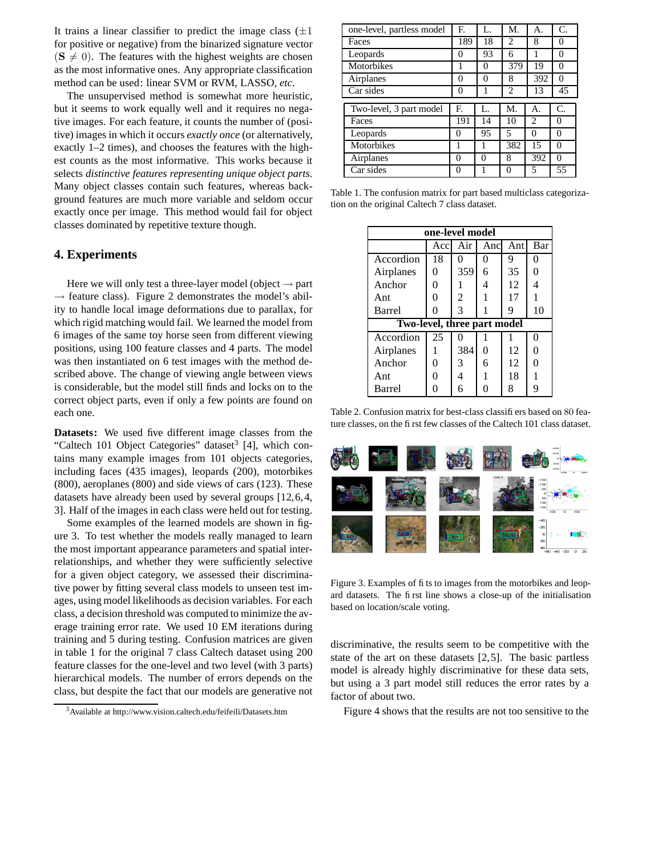It trains a linear classifier to predict the image class  $(\pm 1)$ for positive or negative) from the binarized signature vector  $(S \neq 0)$ . The features with the highest weights are chosen as the most informative ones. Any appropriate classification method can be used: linear SVM or RVM, LASSO, *etc*.

The unsupervised method is somewhat more heuristic, but it seems to work equally well and it requires no negative images. For each feature, it counts the number of (positive) images in which it occurs *exactly once* (or alternatively, exactly 1–2 times), and chooses the features with the highest counts as the most informative. This works because it selects *distinctive features representing unique object parts*. Many object classes contain such features, whereas background features are much more variable and seldom occur exactly once per image. This method would fail for object classes dominated by repetitive texture though.

#### **4. Experiments**

Here we will only test a three-layer model (object  $\rightarrow$  part  $\rightarrow$  feature class). Figure 2 demonstrates the model's ability to handle local image deformations due to parallax, for which rigid matching would fail. We learned the model from 6 images of the same toy horse seen from different viewing positions, using 100 feature classes and 4 parts. The model was then instantiated on 6 test images with the method described above. The change of viewing angle between views is considerable, but the model still finds and locks on to the correct object parts, even if only a few points are found on each one.

**Datasets:** We used five different image classes from the "Caltech 101 Object Categories" dataset<sup>3</sup> [4], which contains many example images from 101 objects categories, including faces (435 images), leopards (200), motorbikes (800), aeroplanes (800) and side views of cars (123). These datasets have already been used by several groups [12,6,4, 3]. Half of the images in each class were held out for testing.

Some examples of the learned models are shown in figure 3. To test whether the models really managed to learn the most important appearance parameters and spatial interrelationships, and whether they were sufficiently selective for a given object category, we assessed their discriminative power by fitting several class models to unseen test images, using model likelihoods as decision variables. For each class, a decision threshold was computed to minimize the average training error rate. We used 10 EM iterations during training and 5 during testing. Confusion matrices are given in table 1 for the original 7 class Caltech dataset using 200 feature classes for the one-level and two level (with 3 parts) hierarchical models. The number of errors depends on the class, but despite the fact that our models are generative not

| one-level, partless model | F.       | L.       | M.             | А.  | C.       |
|---------------------------|----------|----------|----------------|-----|----------|
| Faces                     | 189      | 18       | $\overline{c}$ | 8   | $\theta$ |
| Leopards                  | 0        | 93       | 6              | 1   | $\Omega$ |
| Motorbikes                | 1        | 0        | 379            | 19  | $\theta$ |
| Airplanes                 | $\theta$ | $\Omega$ | 8              | 392 | $\Omega$ |
| Car sides                 | 0        |          | $\overline{c}$ | 13  | 45       |
|                           |          |          |                |     |          |
| Two-level, 3 part model   | F.       | L.       | M.             | А.  | C.       |
| Faces                     | 191      | 14       | 10             | 2   | 0        |
| Leopards                  | $\theta$ | 95       | 5              | 0   | 0        |
| Motorbikes                |          |          | 382            | 15  | 0        |
|                           |          |          |                |     |          |
| Airplanes                 | 0        | 0        | 8              | 392 | 0        |

Table 1. The confusion matrix for part based multiclass categorization on the original Caltech 7 class dataset.

| one-level model                    |      |        |      |     |          |  |  |  |  |
|------------------------------------|------|--------|------|-----|----------|--|--|--|--|
|                                    | Accl | Air    | Ancl | Ant | Bar      |  |  |  |  |
| Accordion                          | 18   | $_{0}$ | 0    | 9   | 0        |  |  |  |  |
| Airplanes                          | 0    | 359    | 6    | 35  | 0        |  |  |  |  |
| Anchor                             | 0    |        | 4    | 12  | 4        |  |  |  |  |
| Ant                                | 0    | 2      |      | 17  |          |  |  |  |  |
| <b>Barrel</b>                      | 0    | 3      | 1    | 9   | 10       |  |  |  |  |
| <b>Two-level, three part model</b> |      |        |      |     |          |  |  |  |  |
| Accordion                          | 25   | 0      |      |     | $\Omega$ |  |  |  |  |
| Airplanes                          | 1    | 384    | 0    | 12  | 0        |  |  |  |  |
| Anchor                             | ∩    | 3      | 6    | 12  | 0        |  |  |  |  |
| Ant                                | 0    | 4      |      | 18  |          |  |  |  |  |
| Barrel                             |      | 6      | O    | 8   | 9        |  |  |  |  |

Table 2. Confusion matrix for best-class classifiers based on 80 feature classes, on the first few classes of the Caltech 101 class dataset.



Figure 3. Examples of fits to images from the motorbikes and leopard datasets. The first line shows a close-up of the initialisation based on location/scale voting.

discriminative, the results seem to be competitive with the state of the art on these datasets [2,5]. The basic partless model is already highly discriminative for these data sets, but using a 3 part model still reduces the error rates by a factor of about two.

Figure 4 shows that the results are not too sensitive to the

<sup>3</sup>Available at http://www.vision.caltech.edu/feifeili/Datasets.htm